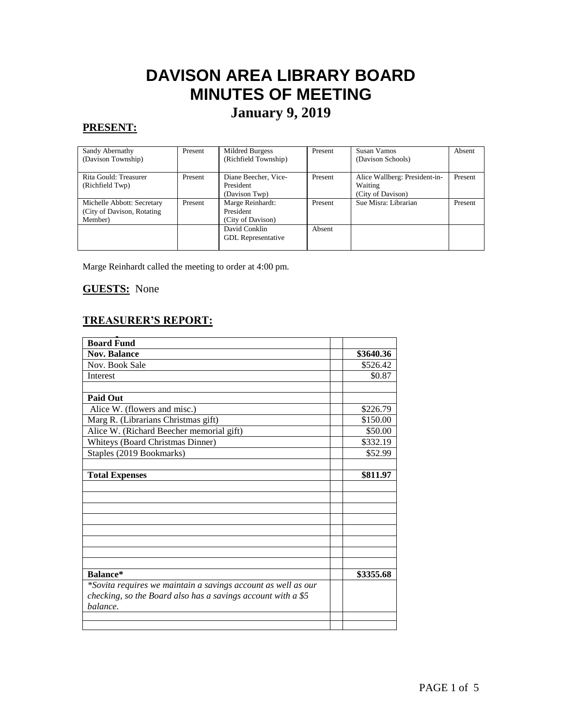# **DAVISON AREA LIBRARY BOARD MINUTES OF MEETING**

# **January 9, 2019**

# **PRESENT:**

| Sandy Abernathy             | Present | Mildred Burgess           | Present | Susan Vamos                   | Absent  |
|-----------------------------|---------|---------------------------|---------|-------------------------------|---------|
| (Davison Township)          |         | (Richfield Township)      |         | (Davison Schools)             |         |
|                             |         |                           |         |                               |         |
| Rita Gould: Treasurer       | Present | Diane Beecher, Vice-      | Present | Alice Wallberg: President-in- | Present |
| (Richfield Twp)             |         | President                 |         | Waiting                       |         |
|                             |         | (Davison Twp)             |         | (City of Davison)             |         |
| Michelle Abbott: Secretary  | Present | Marge Reinhardt:          | Present | Sue Misra: Librarian          | Present |
| (City of Davison, Rotating) |         | President                 |         |                               |         |
| Member)                     |         | (City of Davison)         |         |                               |         |
|                             |         | David Conklin             | Absent  |                               |         |
|                             |         | <b>GDL</b> Representative |         |                               |         |
|                             |         |                           |         |                               |         |

Marge Reinhardt called the meeting to order at 4:00 pm.

#### **GUESTS:** None

# **TREASURER'S REPORT:**

| <b>Board Fund</b>                                             |           |
|---------------------------------------------------------------|-----------|
| <b>Nov. Balance</b>                                           | \$3640.36 |
| Nov. Book Sale                                                | \$526.42  |
| Interest                                                      | \$0.87    |
|                                                               |           |
| <b>Paid Out</b>                                               |           |
| Alice W. (flowers and misc.)                                  | \$226.79  |
| Marg R. (Librarians Christmas gift)                           | \$150.00  |
| Alice W. (Richard Beecher memorial gift)                      | \$50.00   |
| <b>Whiteys (Board Christmas Dinner)</b>                       | \$332.19  |
| Staples (2019 Bookmarks)                                      | \$52.99   |
|                                                               |           |
| <b>Total Expenses</b>                                         | \$811.97  |
|                                                               |           |
|                                                               |           |
|                                                               |           |
|                                                               |           |
|                                                               |           |
|                                                               |           |
|                                                               |           |
|                                                               |           |
| Balance*                                                      | \$3355.68 |
| *Sovita requires we maintain a savings account as well as our |           |
| checking, so the Board also has a savings account with a \$5  |           |
| balance.                                                      |           |
|                                                               |           |
|                                                               |           |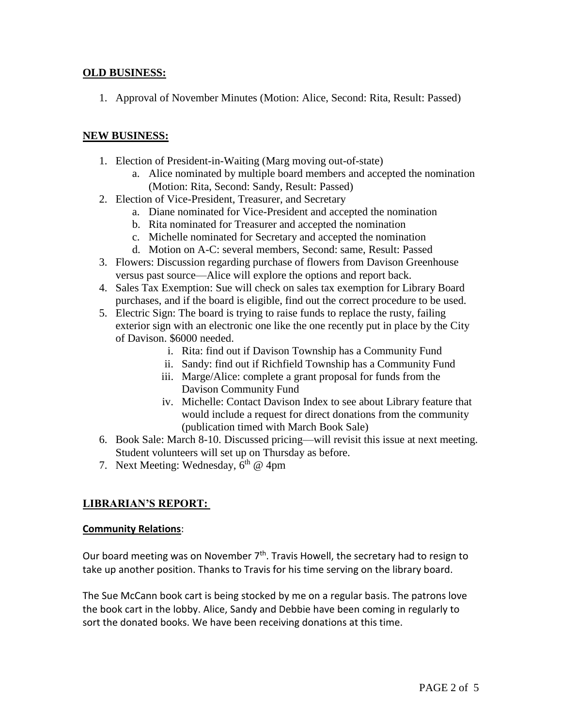### **OLD BUSINESS:**

1. Approval of November Minutes (Motion: Alice, Second: Rita, Result: Passed)

## **NEW BUSINESS:**

- 1. Election of President-in-Waiting (Marg moving out-of-state)
	- a. Alice nominated by multiple board members and accepted the nomination (Motion: Rita, Second: Sandy, Result: Passed)
- 2. Election of Vice-President, Treasurer, and Secretary
	- a. Diane nominated for Vice-President and accepted the nomination
	- b. Rita nominated for Treasurer and accepted the nomination
	- c. Michelle nominated for Secretary and accepted the nomination
	- d. Motion on A-C: several members, Second: same, Result: Passed
- 3. Flowers: Discussion regarding purchase of flowers from Davison Greenhouse versus past source—Alice will explore the options and report back.
- 4. Sales Tax Exemption: Sue will check on sales tax exemption for Library Board purchases, and if the board is eligible, find out the correct procedure to be used.
- 5. Electric Sign: The board is trying to raise funds to replace the rusty, failing exterior sign with an electronic one like the one recently put in place by the City of Davison. \$6000 needed.
	- i. Rita: find out if Davison Township has a Community Fund
	- ii. Sandy: find out if Richfield Township has a Community Fund
	- iii. Marge/Alice: complete a grant proposal for funds from the Davison Community Fund
	- iv. Michelle: Contact Davison Index to see about Library feature that would include a request for direct donations from the community (publication timed with March Book Sale)
- 6. Book Sale: March 8-10. Discussed pricing—will revisit this issue at next meeting. Student volunteers will set up on Thursday as before.
- 7. Next Meeting: Wednesday,  $6<sup>th</sup>$  @ 4pm

# **LIBRARIAN'S REPORT:**

#### **Community Relations**:

Our board meeting was on November  $7<sup>th</sup>$ . Travis Howell, the secretary had to resign to take up another position. Thanks to Travis for his time serving on the library board.

The Sue McCann book cart is being stocked by me on a regular basis. The patrons love the book cart in the lobby. Alice, Sandy and Debbie have been coming in regularly to sort the donated books. We have been receiving donations at this time.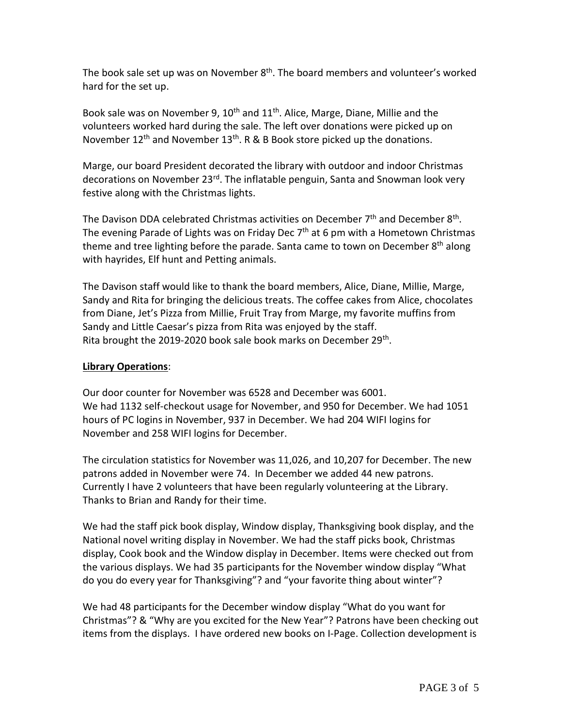The book sale set up was on November  $8<sup>th</sup>$ . The board members and volunteer's worked hard for the set up.

Book sale was on November 9,  $10^{th}$  and  $11^{th}$ . Alice, Marge, Diane, Millie and the volunteers worked hard during the sale. The left over donations were picked up on November  $12^{th}$  and November  $13^{th}$ . R & B Book store picked up the donations.

Marge, our board President decorated the library with outdoor and indoor Christmas decorations on November 23<sup>rd</sup>. The inflatable penguin, Santa and Snowman look very festive along with the Christmas lights.

The Davison DDA celebrated Christmas activities on December  $7<sup>th</sup>$  and December  $8<sup>th</sup>$ . The evening Parade of Lights was on Friday Dec  $7<sup>th</sup>$  at 6 pm with a Hometown Christmas theme and tree lighting before the parade. Santa came to town on December 8<sup>th</sup> along with hayrides, Elf hunt and Petting animals.

The Davison staff would like to thank the board members, Alice, Diane, Millie, Marge, Sandy and Rita for bringing the delicious treats. The coffee cakes from Alice, chocolates from Diane, Jet's Pizza from Millie, Fruit Tray from Marge, my favorite muffins from Sandy and Little Caesar's pizza from Rita was enjoyed by the staff. Rita brought the 2019-2020 book sale book marks on December 29<sup>th</sup>.

# **Library Operations**:

Our door counter for November was 6528 and December was 6001. We had 1132 self-checkout usage for November, and 950 for December. We had 1051 hours of PC logins in November, 937 in December. We had 204 WIFI logins for November and 258 WIFI logins for December.

The circulation statistics for November was 11,026, and 10,207 for December. The new patrons added in November were 74. In December we added 44 new patrons. Currently I have 2 volunteers that have been regularly volunteering at the Library. Thanks to Brian and Randy for their time.

We had the staff pick book display, Window display, Thanksgiving book display, and the National novel writing display in November. We had the staff picks book, Christmas display, Cook book and the Window display in December. Items were checked out from the various displays. We had 35 participants for the November window display "What do you do every year for Thanksgiving"? and "your favorite thing about winter"?

We had 48 participants for the December window display "What do you want for Christmas"? & "Why are you excited for the New Year"? Patrons have been checking out items from the displays. I have ordered new books on I-Page. Collection development is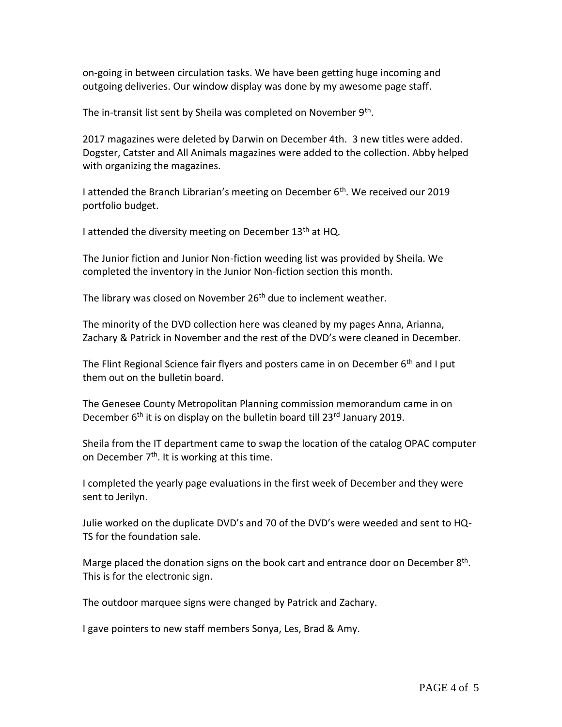on-going in between circulation tasks. We have been getting huge incoming and outgoing deliveries. Our window display was done by my awesome page staff.

The in-transit list sent by Sheila was completed on November 9<sup>th</sup>.

2017 magazines were deleted by Darwin on December 4th. 3 new titles were added. Dogster, Catster and All Animals magazines were added to the collection. Abby helped with organizing the magazines.

I attended the Branch Librarian's meeting on December  $6<sup>th</sup>$ . We received our 2019 portfolio budget.

I attended the diversity meeting on December  $13<sup>th</sup>$  at HQ.

The Junior fiction and Junior Non-fiction weeding list was provided by Sheila. We completed the inventory in the Junior Non-fiction section this month.

The library was closed on November 26<sup>th</sup> due to inclement weather.

The minority of the DVD collection here was cleaned by my pages Anna, Arianna, Zachary & Patrick in November and the rest of the DVD's were cleaned in December.

The Flint Regional Science fair flyers and posters came in on December  $6<sup>th</sup>$  and I put them out on the bulletin board.

The Genesee County Metropolitan Planning commission memorandum came in on December 6<sup>th</sup> it is on display on the bulletin board till 23<sup>rd</sup> January 2019.

Sheila from the IT department came to swap the location of the catalog OPAC computer on December  $7<sup>th</sup>$ . It is working at this time.

I completed the yearly page evaluations in the first week of December and they were sent to Jerilyn.

Julie worked on the duplicate DVD's and 70 of the DVD's were weeded and sent to HQ-TS for the foundation sale.

Marge placed the donation signs on the book cart and entrance door on December 8<sup>th</sup>. This is for the electronic sign.

The outdoor marquee signs were changed by Patrick and Zachary.

I gave pointers to new staff members Sonya, Les, Brad & Amy.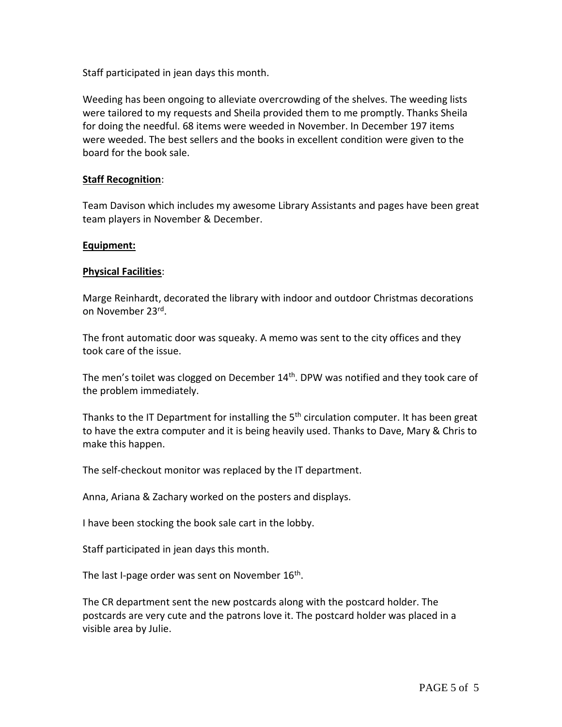Staff participated in jean days this month.

Weeding has been ongoing to alleviate overcrowding of the shelves. The weeding lists were tailored to my requests and Sheila provided them to me promptly. Thanks Sheila for doing the needful. 68 items were weeded in November. In December 197 items were weeded. The best sellers and the books in excellent condition were given to the board for the book sale.

#### **Staff Recognition**:

Team Davison which includes my awesome Library Assistants and pages have been great team players in November & December.

#### **Equipment:**

#### **Physical Facilities**:

Marge Reinhardt, decorated the library with indoor and outdoor Christmas decorations on November 23<sup>rd</sup>.

The front automatic door was squeaky. A memo was sent to the city offices and they took care of the issue.

The men's toilet was clogged on December  $14<sup>th</sup>$ . DPW was notified and they took care of the problem immediately.

Thanks to the IT Department for installing the  $5<sup>th</sup>$  circulation computer. It has been great to have the extra computer and it is being heavily used. Thanks to Dave, Mary & Chris to make this happen.

The self-checkout monitor was replaced by the IT department.

Anna, Ariana & Zachary worked on the posters and displays.

I have been stocking the book sale cart in the lobby.

Staff participated in jean days this month.

The last I-page order was sent on November  $16^{\text{th}}$ .

The CR department sent the new postcards along with the postcard holder. The postcards are very cute and the patrons love it. The postcard holder was placed in a visible area by Julie.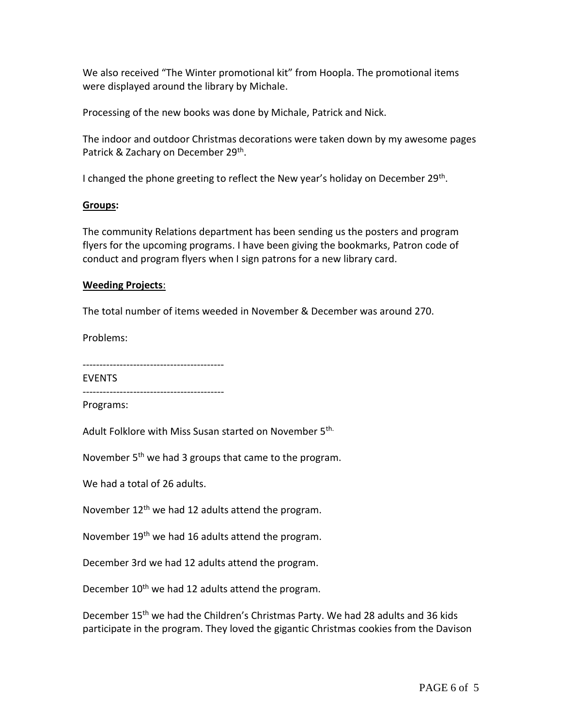We also received "The Winter promotional kit" from Hoopla. The promotional items were displayed around the library by Michale.

Processing of the new books was done by Michale, Patrick and Nick.

The indoor and outdoor Christmas decorations were taken down by my awesome pages Patrick & Zachary on December 29<sup>th</sup>.

I changed the phone greeting to reflect the New year's holiday on December 29<sup>th</sup>.

#### **Groups:**

The community Relations department has been sending us the posters and program flyers for the upcoming programs. I have been giving the bookmarks, Patron code of conduct and program flyers when I sign patrons for a new library card.

#### **Weeding Projects**:

The total number of items weeded in November & December was around 270.

Problems:

| <b>EVENTS</b> |
|---------------|
|               |

Programs:

Adult Folklore with Miss Susan started on November 5<sup>th.</sup>

November 5<sup>th</sup> we had 3 groups that came to the program.

We had a total of 26 adults.

November 12<sup>th</sup> we had 12 adults attend the program.

November 19<sup>th</sup> we had 16 adults attend the program.

December 3rd we had 12 adults attend the program.

December 10<sup>th</sup> we had 12 adults attend the program.

December 15<sup>th</sup> we had the Children's Christmas Party. We had 28 adults and 36 kids participate in the program. They loved the gigantic Christmas cookies from the Davison